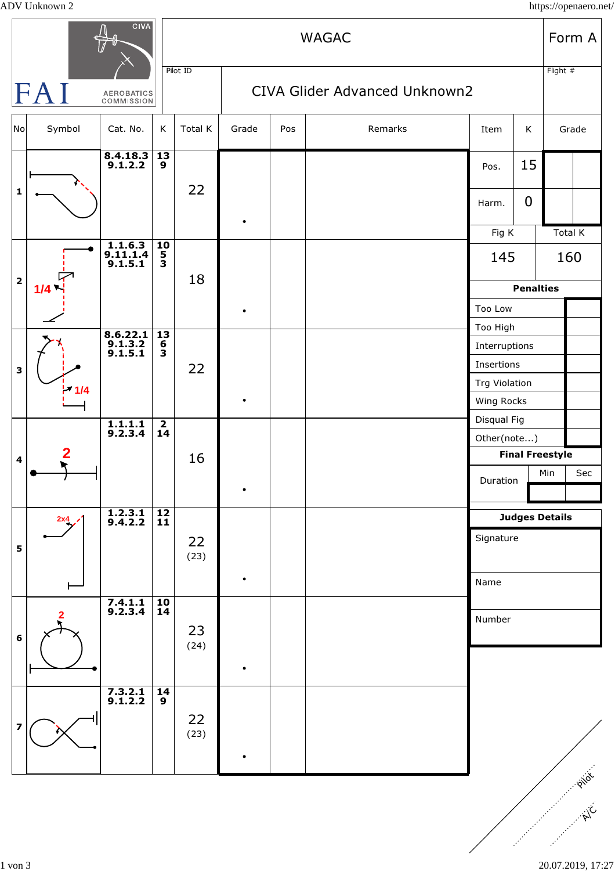ADV Unknown 2 https://openaero.net/

| CIVA                            |        |                                  |                                        | <b>WAGAC</b> |           |                               |         |                             |                | Form A  |          |  |
|---------------------------------|--------|----------------------------------|----------------------------------------|--------------|-----------|-------------------------------|---------|-----------------------------|----------------|---------|----------|--|
| FAI<br>AEROBATICS<br>COMMISSION |        |                                  |                                        | Pilot ID     |           | CIVA Glider Advanced Unknown2 |         |                             |                |         | Flight # |  |
| $\overline{\text{No}}$          | Symbol | Cat. No.                         | K                                      | Total K      | Grade     | Pos                           | Remarks | Item                        | K              | Grade   |          |  |
|                                 |        | $8.4.18.3$<br>9.1.2.2            | 13<br>$\overline{9}$                   |              |           |                               |         | Pos.                        | 15             |         |          |  |
| $\mathbf 1$                     |        |                                  |                                        | 22           |           |                               |         | Harm.                       | $\overline{0}$ |         |          |  |
|                                 |        |                                  |                                        |              |           |                               |         | Fig K                       |                | Total K |          |  |
|                                 | 1/4    | $1.1.6.3$<br>9.11.1.4<br>9.1.5.1 | $\frac{10}{5}$                         | 18           |           |                               |         | 145                         |                | 160     |          |  |
| $\mathbf 2$                     |        |                                  |                                        |              |           |                               |         | <b>Penalties</b>            |                |         |          |  |
|                                 |        |                                  |                                        |              |           |                               |         | Too Low                     |                |         |          |  |
|                                 |        | $8.6.22.1$<br>9.1.3.2<br>9.1.5.1 | $\overline{13}$<br>6<br>$\overline{3}$ | 22           |           |                               |         | Too High                    |                |         |          |  |
| 3                               |        |                                  |                                        |              |           |                               |         | Interruptions<br>Insertions |                |         |          |  |
|                                 |        |                                  |                                        |              |           |                               |         | <b>Trg Violation</b>        |                |         |          |  |
|                                 | 1/4    |                                  |                                        |              | $\bullet$ |                               |         | Wing Rocks                  |                |         |          |  |
|                                 |        |                                  | $\overline{\mathbf{2}}$                |              |           |                               |         | Disqual Fig                 |                |         |          |  |
| $\overline{\mathbf{4}}$         |        | $\overline{1.1.1.1}$<br>9.2.3.4  | 14                                     |              |           |                               |         | Other(note)                 |                |         |          |  |
|                                 |        |                                  |                                        | 16           |           |                               |         | <b>Final Freestyle</b>      |                |         |          |  |
|                                 |        |                                  |                                        |              | $\bullet$ |                               |         | Duration                    |                | Min     | Sec      |  |
|                                 |        |                                  |                                        |              |           |                               |         |                             |                |         |          |  |
|                                 | 2x4    | $\overline{)1.2.3.1}$<br>9.4.2.2 | $\frac{12}{11}$                        | 22<br>(23)   |           |                               |         | <b>Judges Details</b>       |                |         |          |  |
| 5                               |        |                                  |                                        |              |           |                               |         | Signature                   |                |         |          |  |
|                                 |        |                                  |                                        |              |           |                               |         |                             |                |         |          |  |
|                                 |        |                                  |                                        |              | ٠         |                               |         | Name                        |                |         |          |  |
|                                 |        | $7.4.1.1$<br>9.2.3.4             | $\frac{10}{14}$                        |              |           |                               |         |                             |                |         |          |  |
| 6                               | 2      |                                  |                                        | 23<br>(24)   |           |                               |         | Number                      |                |         |          |  |
|                                 |        |                                  |                                        |              |           |                               |         |                             |                |         |          |  |
|                                 |        |                                  |                                        |              |           |                               |         |                             |                |         |          |  |
|                                 |        | $7.3.2.1$<br>9.1.2.2             | 14                                     |              |           |                               |         |                             |                |         |          |  |
| $\overline{\mathbf{z}}$         |        |                                  | $\mathbf{9}$                           |              |           |                               |         |                             |                |         |          |  |
|                                 |        |                                  |                                        | 22<br>(23)   |           |                               |         |                             |                |         |          |  |
|                                 |        |                                  |                                        |              |           |                               |         |                             |                |         |          |  |
|                                 |        |                                  |                                        |              |           |                               |         |                             |                |         | PIIOL    |  |
|                                 |        |                                  |                                        |              |           |                               |         |                             |                |         |          |  |
|                                 |        |                                  |                                        |              |           |                               |         |                             |                |         |          |  |
|                                 |        |                                  |                                        |              |           |                               |         |                             |                |         |          |  |
|                                 |        |                                  |                                        |              |           |                               |         |                             |                |         |          |  |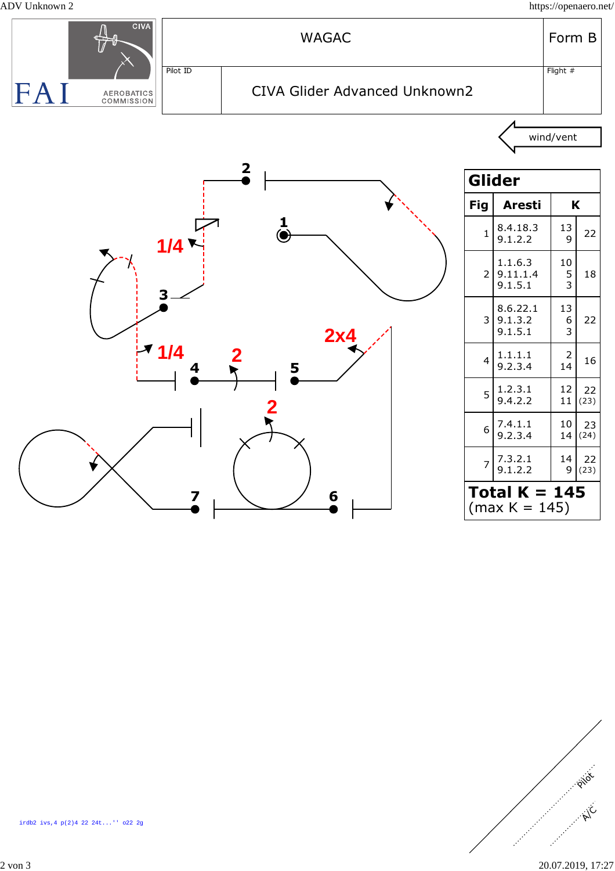ADV Unknown 2 https://openaero.net/





2 von 3 20.07.2019, 17:27

P is

 $h^C$